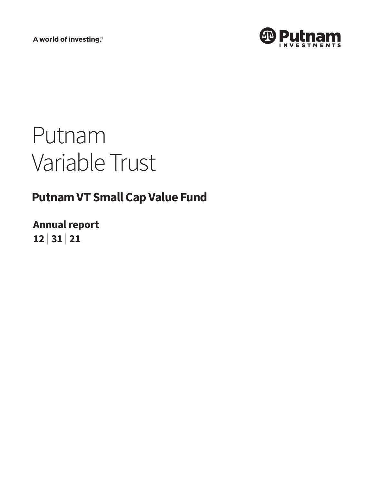A world of investing®



# Putnam Variable Trust

# **Putnam VT Small Cap Value Fund**

**Annual report 12 <sup>|</sup> 31 <sup>|</sup> 21**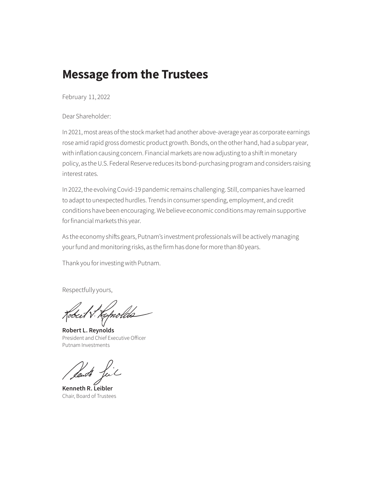## **Message from the Trustees**

February 11, 2022

Dear Shareholder:

In 2021, most areas of the stock market had another above-average year as corporate earnings rose amid rapid gross domestic product growth. Bonds, on the other hand, had a subpar year, with inflation causing concern. Financial markets are now adjusting to a shift in monetary policy, as the U.S. Federal Reserve reduces its bond-purchasing program and considers raising interest rates.

In 2022, the evolving Covid-19 pandemic remains challenging. Still, companies have learned to adapt to unexpected hurdles. Trends in consumer spending, employment, and credit conditions have been encouraging. We believe economic conditions may remain supportive for financial markets this year.

As the economy shifts gears, Putnam's investment professionals will be actively managing your fund and monitoring risks, as the firm has done for more than 80 years.

Thank you for investing with Putnam.

Respectfully yours,

Cobeit V. Keprolds

**Robert L. Reynolds** President and Chief Executive Officer Putnam Investments

Seuth

**Kenneth R. Leibler** Chair, Board of Trustees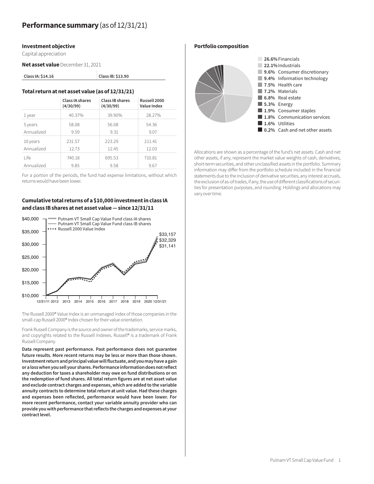### **Investment objective**

Capital appreciation

**Net asset value** December 31, 2021

**Class IA: \$14.16 Class IB: \$13.90**

### **Total return at net asset value (as of 12/31/21)**

|            | Class IA shares | Class IB shares | Russell 2000 |
|------------|-----------------|-----------------|--------------|
|            | (4/30/99)       | (4/30/99)       | Value Index  |
| 1 year     | 40.37%          | 39.90%          | 28.27%       |
| 5 years    | 58.08           | 56.08           | 54.36        |
| Annualized | 9.59            | 9.31            | 9.07         |
| 10 years   | 231.57          | 223.29          | 211.41       |
| Annualized | 12.73           | 12.45           | 12.03        |
| l ife      | 740.18          | 695.53          | 710.81       |
| Annualized | 9.85            | 9.58            | 9.67         |

For a portion of the periods, the fund had expense limitations, without which returns would have been lower.

### **Cumulative total returns of a \$10,000 investment in class IA and class IB shares at net asset value — since 12/31/11**



The Russell 2000® Value Index is an unmanaged index of those companies in the small-cap Russell 2000® Index chosen for their value orientation.

Frank Russell Company is the source and owner of the trademarks, service marks, and copyrights related to the Russell Indexes. Russell® is a trademark of Frank Russell Company.

**Data represent past performance. Past performance does not guarantee future results. More recent returns may be less or more than those shown. Investment return and principal value will fluctuate, and you may have a gain or a loss when you sell your shares. Performance information does not reflect any deduction for taxes a shareholder may owe on fund distributions or on the redemption of fund shares. All total return figures are at net asset value and exclude contract charges and expenses, which are added to the variable annuity contracts to determine total return at unit value. Had these charges and expenses been reflected, performance would have been lower. For more recent performance, contact your variable annuity provider who can provide you with performance that reflects the charges and expenses at your contract level.**

### **Portfolio composition**



Allocations are shown as a percentage of the fund's net assets. Cash and net other assets, if any, represent the market value weights of cash, derivatives, short-term securities, and other unclassified assets in the portfolio. Summary information may differ from the portfolio schedule included in the financial statements due to the inclusion of derivative securities, any interest accruals, the exclusion of as-of trades, if any, the use of different classifications of securities for presentation purposes, and rounding. Holdings and allocations may vary over time.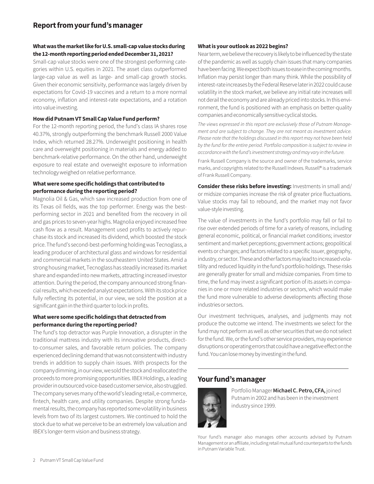### **What was the market like for U.S. small-cap value stocks during the 12-month reporting period ended December 31, 2021?**

Small-cap value stocks were one of the strongest-performing categories within U.S. equities in 2021. The asset class outperformed large-cap value as well as large- and small-cap growth stocks. Given their economic sensitivity, performance was largely driven by expectations for Covid-19 vaccines and a return to a more normal economy, inflation and interest-rate expectations, and a rotation into value investing.

### **How did Putnam VT Small Cap Value Fund perform?**

For the 12-month reporting period, the fund's class IA shares rose 40.37%, strongly outperforming the benchmark Russell 2000 Value Index, which returned 28.27%. Underweight positioning in health care and overweight positioning in materials and energy added to benchmark-relative performance. On the other hand, underweight exposure to real estate and overweight exposure to information technology weighed on relative performance.

### **What were some specific holdings that contributed to performance during the reporting period?**

Magnolia Oil & Gas, which saw increased production from one of its Texas oil fields, was the top performer. Energy was the bestperforming sector in 2021 and benefited from the recovery in oil and gas prices to seven-year highs. Magnolia enjoyed increased free cash flow as a result. Management used profits to actively repurchase its stock and increased its dividend, which boosted the stock price. The fund's second-best-performing holding was Tecnoglass, a leading producer of architectural glass and windows for residential and commercial markets in the southeastern United States. Amid a strong housing market, Tecnoglass has steadily increased its market share and expanded into new markets, attracting increased investor attention. During the period, the company announced strong financial results, which exceeded analyst expectations. With its stock price fully reflecting its potential, in our view, we sold the position at a significant gain in the third quarter to lock in profits.

### **What were some specific holdings that detracted from performance during the reporting period?**

The fund's top detractor was Purple Innovation, a disrupter in the traditional mattress industry with its innovative products, directto-consumer sales, and favorable return policies. The company experienced declining demand that was not consistent with industry trends in addition to supply chain issues. With prospects for the company dimming, in our view, we sold the stock and reallocated the proceeds to more promising opportunities. IBEX Holdings, a leading provider in outsourced voice-based customer service, also struggled. The company serves many of the world's leading retail, e-commerce, fintech, health care, and utility companies. Despite strong fundamental results, the company has reported some volatility in business levels from two of its largest customers. We continued to hold the stock due to what we perceive to be an extremely low valuation and IBEX's longer-term vision and business strategy.

### **What is your outlook as 2022 begins?**

Near term, we believe the recovery is likely to be influenced by the state of the pandemic as well as supply chain issues that many companies have been facing. We expect both issues to ease in the coming months. Inflation may persist longer than many think. While the possibility of interest-rate increases by the Federal Reserve later in 2022 could cause volatility in the stock market, we believe any initial rate increases will not derail the economy and are already priced into stocks. In this environment, the fund is positioned with an emphasis on better-quality companies and economically sensitive cyclical stocks.

*The views expressed in this report are exclusively those of Putnam Management and are subject to change. They are not meant as investment advice. Please note that the holdings discussed in this report may not have been held by the fund for the entire period. Portfolio composition is subject to review in accordance with the fund's investment strategy and may vary in the future.*

Frank Russell Company is the source and owner of the trademarks, service marks, and copyrights related to the Russell Indexes. Russell® is a trademark of Frank Russell Company.

**Consider these risks before investing:** Investments in small and/ or midsize companies increase the risk of greater price fluctuations. Value stocks may fail to rebound, and the market may not favor value-style investing.

The value of investments in the fund's portfolio may fall or fail to rise over extended periods of time for a variety of reasons, including general economic, political, or financial market conditions; investor sentiment and market perceptions; government actions; geopolitical events or changes; and factors related to a specific issuer, geography, industry, or sector. These and other factors may lead to increased volatility and reduced liquidity in the fund's portfolio holdings. These risks are generally greater for small and midsize companies. From time to time, the fund may invest a significant portion of its assets in companies in one or more related industries or sectors, which would make the fund more vulnerable to adverse developments affecting those industries or sectors.

Our investment techniques, analyses, and judgments may not produce the outcome we intend. The investments we select for the fund may not perform as well as other securities that we do not select for the fund. We, or the fund's other service providers, may experience disruptions or operating errors that could have a negative effect on the fund. You can lose money by investing in the fund.

### **Your fund's manager**



Portfolio Manager **Michael C. Petro, CFA,** joined Putnam in 2002 and has been in the investment industry since 1999.

Your fund's manager also manages other accounts advised by Putnam Management or an affiliate, including retail mutual fund counterparts to the funds in Putnam Variable Trust.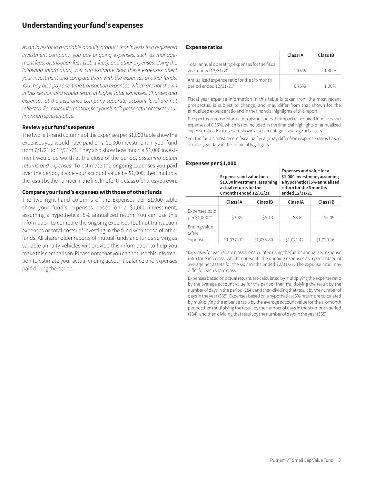### **Understanding your fund's expenses**

*As an investor in a variable annuity product that invests in a registered investment company, you pay ongoing expenses, such as management fees, distribution fees (12b-1 fees), and other expenses. Using the following information, you can estimate how these expenses affect your investment and compare them with the expenses of other funds. You may also pay one-time transaction expenses, which are not shown in this section and would result in higher total expenses. Charges and*  expenses at the insurance company separate account level are not *reflected. For more information, see your fund's prospectus or talk to your financial representative.*

### **Review your fund's expenses**

The two left-hand columns of the Expenses per \$1,000 table show the expenses you would have paid on a \$1,000 investment in your fund from 7/1/21 to 12/31/21. They also show how much a \$1,000 investment would be worth at the close of the period, *assuming actual returns and expenses*. To estimate the ongoing expenses you paid over the period, divide your account value by \$1,000, then multiply the result by the number in the first line for the class of shares you own.

### **Compare your fund's expenses with those of other funds**

The two right-hand columns of the Expenses per \$1,000 table show your fund's expenses based on a \$1,000 investment, assuming a hypothetical 5% annualized return. You can use this information to compare the ongoing expenses (but not transaction expenses or total costs) of investing in the fund with those of other funds. All shareholder reports of mutual funds and funds serving as variable annuity vehicles will provide this information to help you make this comparison. Please note that you cannot use this information to estimate your actual ending account balance and expenses paid during the period.

### **Expense ratios**

|                                                                       | Class IA | Class IB |
|-----------------------------------------------------------------------|----------|----------|
| Total annual operating expenses for the fiscal<br>year ended 12/31/20 | 1.15%    | 1.40%    |
| Annualized expense ratio for the six-month<br>period ended 12/31/21*  | 0.75%    | 1.00%    |

Fiscal year expense information in this table is taken from the most recent prospectus, is subject to change, and may differ from that shown for the annualized expense ratio and in the financial highlights of this report.

Prospectus expense information also includes the impact of acquired fund fees and expenses of 0.35%, which is not included in the financial highlights or annualized expense ratios. Expenses are shown as a percentage of average net assets.

 \*For the fund's most recent fiscal half year; may differ from expense ratios based on one-year data in the financial highlights.

### **Expenses per \$1,000**

|                                     | Expenses and value for a<br>\$1,000 investment, assuming<br>actual returns for the<br>6 months ended 12/31/21 |            | Expenses and value for a<br>\$1,000 investment, assuming<br>return for the 6 months<br>ended 12/31/21 | a hypothetical 5% annualized |
|-------------------------------------|---------------------------------------------------------------------------------------------------------------|------------|-------------------------------------------------------------------------------------------------------|------------------------------|
|                                     | Class IA                                                                                                      | Class IB   | Class IA                                                                                              | Class IB                     |
| Expenses paid<br>per \$1,000*†      | \$3.85                                                                                                        | \$5.13     | \$3.82                                                                                                | \$5.09                       |
| Ending value<br>(after<br>expenses) | \$1,037.40                                                                                                    | \$1,035.80 | \$1,021.42                                                                                            | \$1,020.16                   |

\*Expenses for each share class are calculated using the fund's annualized expense ratio for each class, which represents the ongoing expenses as a percentage of average net assets for the six months ended 12/31/21. The expense ratio may differ for each share class.

†Expenses based on actual returns are calculated by multiplying the expense ratio by the average account value for the period; then multiplying the result by the number of days in the period (184); and then dividing that result by the number of days in the year (365). Expenses based on a hypothetical 5% return are calculated by multiplying the expense ratio by the average account value for the six-month period; then multiplying the result by the number of days in the six-month period (184); and then dividing that result by the number of days in the year (365).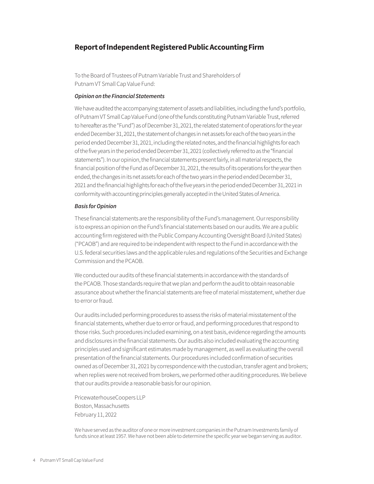### **Report of Independent Registered Public Accounting Firm**

To the Board of Trustees of Putnam Variable Trust and Shareholders of Putnam VT Small Cap Value Fund:

### *Opinion on the Financial Statements*

We have audited the accompanying statement of assets and liabilities, including the fund's portfolio, of Putnam VT Small Cap Value Fund (one of the funds constituting Putnam Variable Trust, referred to hereafter as the "Fund") as of December 31, 2021, the related statement of operations for the year ended December 31, 2021, the statement of changes in net assets for each of the two years in the period ended December 31, 2021, including the related notes, and the financial highlights for each of the five years in the period ended December 31, 2021 (collectively referred to as the "financial statements"). In our opinion, the financial statements present fairly, in all material respects, the financial position of the Fund as of December 31, 2021, the results of its operations for the year then ended, the changes in its net assets for each of the two years in the period ended December 31, 2021 and the financial highlights for each of the five years in the period ended December 31, 2021 in conformity with accounting principles generally accepted in the United States of America.

### *Basis for Opinion*

These financial statements are the responsibility of the Fund's management. Our responsibility is to express an opinion on the Fund's financial statements based on our audits. We are a public accounting firm registered with the Public Company Accounting Oversight Board (United States) ("PCAOB") and are required to be independent with respect to the Fund in accordance with the U.S. federal securities laws and the applicable rules and regulations of the Securities and Exchange Commission and the PCAOB.

We conducted our audits of these financial statements in accordance with the standards of the PCAOB. Those standards require that we plan and perform the audit to obtain reasonable assurance about whether the financial statements are free of material misstatement, whether due to error or fraud.

Our audits included performing procedures to assess the risks of material misstatement of the financial statements, whether due to error or fraud, and performing procedures that respond to those risks. Such procedures included examining, on a test basis, evidence regarding the amounts and disclosures in the financial statements. Our audits also included evaluating the accounting principles used and significant estimates made by management, as well as evaluating the overall presentation of the financial statements. Our procedures included confirmation of securities owned as of December 31, 2021 by correspondence with the custodian, transfer agent and brokers; when replies were not received from brokers, we performed other auditing procedures. We believe that our audits provide a reasonable basis for our opinion.

PricewaterhouseCoopers LLP Boston, Massachusetts February 11, 2022

We have served as the auditor of one or more investment companies in the Putnam Investments family of funds since at least 1957. We have not been able to determine the specific year we began serving as auditor.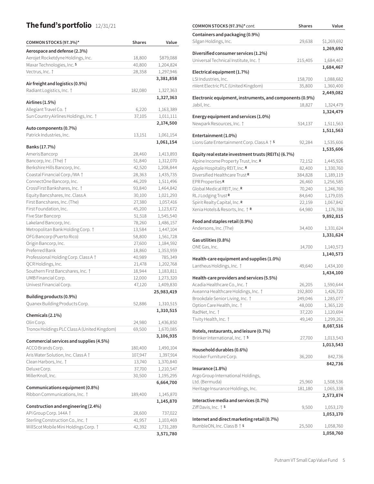### **The fund's portfolio** 12/31/21

| COMMON STOCKS (97.3%)*                                        | <b>Shares</b> | Value      |
|---------------------------------------------------------------|---------------|------------|
| Aerospace and defense (2.3%)                                  |               |            |
| Aerojet Rocketdyne Holdings, Inc.                             | 18,800        | \$879,088  |
| Maxar Technologies, Inc. S                                    | 40,800        | 1,204,824  |
| Vectrus, Inc. †                                               | 28,358        | 1,297,946  |
|                                                               |               | 3,381,858  |
| Air freight and logistics (0.9%)<br>Radiant Logistics, Inc. 1 | 182,080       | 1,327,363  |
|                                                               |               | 1,327,363  |
| Airlines (1.5%)                                               |               |            |
| Allegiant Travel Co. 1                                        | 6,220         | 1,163,389  |
| Sun Country Airlines Holdings, Inc. 1                         | 37,105        | 1,011,111  |
| Auto components (0.7%)                                        |               | 2,174,500  |
| Patrick Industries, Inc.                                      | 13,151        | 1,061,154  |
|                                                               |               | 1,061,154  |
| Banks (17.7%)                                                 |               |            |
| Ameris Bancorp                                                | 28,460        | 1,413,893  |
| Bancorp, Inc. (The) †                                         | 51,840        | 1,312,070  |
| Berkshire Hills Bancorp, Inc.                                 | 42,520        | 1,208,844  |
| Coastal Financial Corp./WA +                                  | 28,363        | 1,435,735  |
| ConnectOne Bancorp, Inc.                                      | 46,209        | 1,511,496  |
| CrossFirst Bankshares, Inc. †                                 | 93,840        | 1,464,842  |
| Equity Bancshares, Inc. Class A                               | 30,100        | 1,021,293  |
| First Bancshares, Inc. (The)                                  | 27,380        | 1,057,416  |
| First Foundation, Inc.                                        | 45,200        | 1,123,672  |
| Five Star Bancorp                                             | 51,518        | 1,545,540  |
| Lakeland Bancorp, Inc.                                        | 78,260        | 1,486,157  |
| Metropolitan Bank Holding Corp. 1                             | 13,584        | 1,447,104  |
| OFG Bancorp (Puerto Rico)                                     | 58,800        | 1,561,728  |
| Origin Bancorp, Inc.                                          | 27,600        | 1,184,592  |
| Preferred Bank                                                | 18,860        | 1,353,959  |
| Professional Holding Corp. Class A +                          | 40,989        | 785,349    |
| QCR Holdings, Inc.                                            | 21,478        | 1,202,768  |
| Southern First Bancshares, Inc. 1                             | 18,944        | 1,183,811  |
| UMB Financial Corp.                                           | 12,000        | 1,273,320  |
| Univest Financial Corp.                                       | 47,120        | 1,409,830  |
|                                                               |               | 25,983,419 |
| Building products (0.9%)<br>Quanex Building Products Corp.    | 52,886        | 1,310,515  |
|                                                               |               | 1,310,515  |
| Chemicals (2.1%)                                              |               |            |
| Olin Corp.                                                    | 24,980        | 1,436,850  |
| Tronox Holdings PLC Class A (United Kingdom)                  | 69,500        | 1,670,085  |
| Commercial services and supplies (4.5%)                       |               | 3,106,935  |
| ACCO Brands Corp.                                             | 180,400       | 1,490,104  |
| Aris Water Solution, Inc. Class A +                           | 107,947       | 1,397,914  |
| Clean Harbors, Inc. 1                                         | 13,740        | 1,370,840  |
| Deluxe Corp.                                                  | 37,700        | 1,210,547  |
| MillerKnoll, Inc.                                             | 30,500        | 1,195,295  |
|                                                               |               | 6,664,700  |
| Communications equipment (0.8%)                               |               |            |
| Ribbon Communications, Inc. 1                                 | 189,400       | 1,145,870  |
| Construction and engineering (2.4%)                           |               | 1,145,870  |
| APi Group Corp. 144A                                          | 28,600        | 737,022    |
| Sterling Construction Co., Inc. 1                             | 41,957        | 1,103,469  |
| WillScot Mobile Mini Holdings Corp. 1                         | 42,392        | 1,731,289  |
|                                                               |               | 3,571,780  |

| COMMON STOCKS (97.3%)* cont.                             | <b>Shares</b> | Value                  |
|----------------------------------------------------------|---------------|------------------------|
| Containers and packaging (0.9%)                          |               |                        |
| Silgan Holdings, Inc.                                    | 29,638        | \$1,269,692            |
|                                                          |               | 1,269,692              |
| Diversified consumer services (1.2%)                     |               |                        |
| Universal Technical Institute, Inc.                      | 215,405       | 1,684,467              |
|                                                          |               | 1,684,467              |
| Electrical equipment (1.7%)                              |               |                        |
| LSI Industries, Inc.                                     | 158,700       | 1,088,682              |
| nVent Electric PLC (United Kingdom)                      | 35,800        | 1,360,400              |
|                                                          |               | 2,449,082              |
| Electronic equipment, instruments, and components (0.9%) |               |                        |
| Jabil, Inc.                                              | 18,827        | 1,324,479              |
|                                                          |               | 1,324,479              |
| Energy equipment and services (1.0%)                     |               |                        |
| Newpark Resources, Inc. 1                                | 514,137       | 1,511,563              |
|                                                          |               | 1,511,563              |
| Entertainment (1.0%)                                     |               |                        |
| Lions Gate Entertainment Corp. Class A   S               | 92,284        | 1,535,606              |
| Equity real estate investment trusts (REITs) (6.7%)      |               | 1,535,606              |
| Alpine Income Property Trust, Inc. R                     | 72,152        | 1,445,926              |
| Apple Hospitality REIT, Inc. R                           | 82,400        | 1,330,760              |
| Diversified Healthcare Trust <sup>R</sup>                | 384,828       | 1,189,119              |
| EPR Properties R                                         | 26,460        |                        |
| Global Medical REIT, Inc. R                              |               | 1,256,585<br>1,246,760 |
|                                                          | 70,240        |                        |
| RLJ Lodging Trust <sup>R</sup>                           | 84,640        | 1,179,035              |
| Spirit Realty Capital, Inc. R                            | 22,159        | 1,067,842              |
| Xenia Hotels & Resorts, Inc. 1 R                         | 64,980        | 1,176,788              |
| Food and staples retail (0.9%)                           |               | 9,892,815              |
| Andersons, Inc. (The)                                    | 34,400        | 1,331,624              |
|                                                          |               | 1,331,624              |
| Gas utilities (0.8%)                                     |               |                        |
| ONE Gas, Inc.                                            | 14,700        | 1,140,573              |
|                                                          |               | 1,140,573              |
| Health-care equipment and supplies (1.0%)                |               |                        |
| Lantheus Holdings, Inc. 1                                | 49,640        | 1,434,100              |
|                                                          |               | 1,434,100              |
| Health-care providers and services (5.5%)                |               |                        |
| Acadia Healthcare Co., Inc. 1                            | 26,205        | 1,590,644              |
| Aveanna Healthcare Holdings, Inc. 1                      | 192,800       | 1,426,720              |
| Brookdale Senior Living, Inc. 1                          | 249,046       | 1,285,077              |
| Option Care Health, Inc. 1                               | 48,000        | 1,365,120              |
| RadNet, Inc. †                                           | 37,220        | 1,120,694              |
| Tivity Health, Inc. †                                    | 49,140        | 1,299,261              |
|                                                          |               | 8,087,516              |
| Hotels, restaurants, and leisure (0.7%)                  |               |                        |
| Brinker International, Inc. † S                          | 27,700        | 1,013,543              |
|                                                          |               | 1,013,543              |
| Household durables (0.6%)                                |               |                        |
| Hooker Furniture Corp.                                   | 36,200        | 842,736                |
| Insurance (1.8%)                                         |               | 842,736                |
| Argo Group International Holdings,                       |               |                        |
| Ltd. (Bermuda)                                           | 25,960        | 1,508,536              |
|                                                          |               |                        |
| Heritage Insurance Holdings, Inc.                        | 181,180       | 1,065,338              |
| Interactive media and services (0.7%)                    |               | 2,573,874              |
| Ziff Davis, Inc. $\dagger$ S                             | 9,500         | 1,053,170              |
|                                                          |               | 1,053,170              |
| Internet and direct marketing retail (0.7%)              |               |                        |
| RumbleON, Inc. Class B   \$                              | 25,500        | 1,058,760              |
|                                                          |               | 1,058,760              |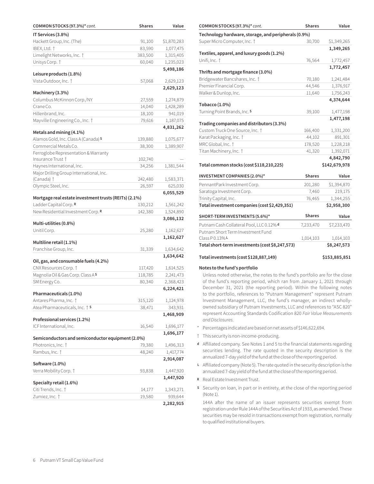| COMMON STOCKS (97.3%)* cont.                          | <b>Shares</b> | Value                  |
|-------------------------------------------------------|---------------|------------------------|
| IT Services (3.8%)                                    |               |                        |
| Hackett Group, Inc. (The)                             | 91,100        | \$1,870,283            |
| IBEX, Ltd. †                                          | 83,590        | 1,077,475              |
| Limelight Networks, Inc. 1                            | 383,500       | 1,315,405              |
| Unisys Corp. †                                        | 60,040        | 1,235,023              |
|                                                       |               | 5,498,186              |
| Leisure products (1.8%)                               |               |                        |
| Vista Outdoor, Inc. 1                                 | 57,068        | 2,629,123              |
| Machinery (3.3%)                                      |               | 2,629,123              |
| Columbus McKinnon Corp./NY                            | 27,559        | 1,274,879              |
| Crane Co.                                             | 14,040        | 1,428,289              |
| Hillenbrand, Inc.                                     | 18,100        | 941,019                |
| Mayville Engineering Co., Inc. 1                      | 79,616        | 1,187,075              |
|                                                       |               | 4,831,262              |
| Metals and mining (4.1%)                              |               |                        |
| Alamos Gold, Inc. Class A (Canada) S                  | 139,880       | 1,075,677              |
| Commercial Metals Co.                                 | 38,300        | 1,389,907              |
| Ferroglobe Representation & Warranty                  |               |                        |
| Insurance Trust †                                     | 102,740       |                        |
| Haynes International, Inc.                            | 34,256        | 1,381,544              |
| Major Drilling Group International, Inc.              |               |                        |
| (Canada) †                                            | 242,480       | 1,583,371              |
| Olympic Steel, Inc.                                   | 26,597        | 625,030                |
| Mortgage real estate investment trusts (REITs) (2.1%) |               | 6,055,529              |
| Ladder Capital Corp. R                                | 130,212       | 1,561,242              |
| New Residential Investment Corp. R                    | 142,380       | 1,524,890              |
|                                                       |               | 3,086,132              |
| Multi-utilities (0.8%)                                |               |                        |
| Unitil Corp.                                          | 25,280        | 1,162,627              |
| Multiline retail (1.1%)                               |               | 1,162,627              |
| Franchise Group, Inc.                                 | 31,339        | 1,634,642              |
|                                                       |               | 1,634,642              |
| Oil, gas, and consumable fuels (4.2%)                 |               |                        |
| CNX Resources Corp. <sup>†</sup>                      | 117,420       | 1,614,525              |
| Magnolia Oil & Gas Corp. Class AS                     | 118,785       | 2,241,473              |
| SM Energy Co.                                         | 80,340        | 2,368,423              |
|                                                       |               | 6,224,421              |
| Pharmaceuticals (1.0%)                                |               |                        |
| Antares Pharma, Inc. †                                | 315,120       | 1,124,978              |
| Atea Pharmaceuticals, Inc. <sup>†</sup> S             | 38,471        | 343,931                |
| Professional services (1.2%)                          |               | 1,468,909              |
| ICF International, Inc.                               |               |                        |
|                                                       | 16,540        | 1,696,177<br>1,696,177 |
| Semiconductors and semiconductor equipment (2.0%)     |               |                        |
| Photronics, Inc. †                                    | 79,380        | 1,496,313              |
| Rambus, Inc. †                                        | 48,240        | 1,417,774              |
|                                                       |               | 2,914,087              |
| Software (1.0%)                                       |               |                        |
| Verra Mobility Corp. †                                | 93,838        | 1,447,920              |
|                                                       |               | 1,447,920              |
| Specialty retail (1.6%)                               |               |                        |
| Citi Trends, Inc. †                                   | 14,177        | 1,343,271              |
| Zumiez, Inc. †                                        | 19,580        | 939,644                |
|                                                       |               | 2,282,915              |

| COMMON STOCKS (97.3%)* cont.                         | <b>Shares</b> | Value         |
|------------------------------------------------------|---------------|---------------|
| Technology hardware, storage, and peripherals (0.9%) |               |               |
| Super Micro Computer, Inc. 1                         | 30,700        | \$1,349,265   |
|                                                      |               | 1,349,265     |
| Textiles, apparel, and luxury goods (1.2%)           |               |               |
| Unifi, Inc. †                                        | 76,564        | 1,772,457     |
| Thrifts and mortgage finance (3.0%)                  |               | 1,772,457     |
| Bridgewater Bancshares, Inc. 1                       | 70,180        | 1,241,484     |
| Premier Financial Corp.                              | 44,546        | 1,376,917     |
| Walker & Dunlop, Inc.                                | 11,640        | 1,756,243     |
|                                                      |               | 4,374,644     |
| Tobacco (1.0%)                                       |               |               |
| Turning Point Brands, Inc. S                         | 39,100        | 1,477,198     |
| Trading companies and distributors (3.3%)            |               | 1,477,198     |
| Custom Truck One Source, Inc. †                      | 166,400       | 1,331,200     |
| Karat Packaging, Inc. †                              | 44,102        | 891,301       |
| MRC Global, Inc. †                                   | 178,520       | 1,228,218     |
| Titan Machinery, Inc. 1                              | 41,320        | 1,392,071     |
|                                                      |               | 4,842,790     |
| Total common stocks (cost \$118,210,225)             |               | \$142,679,978 |
| INVESTMENT COMPANIES (2.0%)*                         | <b>Shares</b> | Value         |
| PennantPark Investment Corp.                         | 201,280       | \$1,394,870   |
| Saratoga Investment Corp.                            | 7,460         | 219,175       |
| Trinity Capital, Inc.                                | 76,465        | 1,344,255     |
| Total investment companies (cost \$2,429,351)        |               | \$2,958,300   |
| SHORT-TERM INVESTMENTS (5.6%)*                       | <b>Shares</b> | Value         |
| Putnam Cash Collateral Pool, LLC 0.12% d             | 7,233,470     | \$7,233,470   |
| Putnam Short Term Investment Fund                    |               |               |
| Class P 0.13%L                                       | 1,014,103     | 1,014,103     |
| Total short-term investments (cost \$8,247,573)      |               | \$8,247,573   |
| Total investments (cost \$128,887,149)               |               | \$153,885,851 |

#### **Notes to the fund's portfolio**

Unless noted otherwise, the notes to the fund's portfolio are for the close of the fund's reporting period, which ran from January 1, 2021 through December 31, 2021 (the reporting period). Within the following notes to the portfolio, references to "Putnam Management" represent Putnam Investment Management, LLC, the fund's manager, an indirect whollyowned subsidiary of Putnam Investments, LLC and references to "ASC 820" represent Accounting Standards Codification 820 *Fair Value Measurements and Disclosures*.

- \* Percentages indicated are based on net assets of \$146,622,694.
- † This security is non-income-producing.
- **<sup>d</sup>** Affiliated company. See Notes 1 and 5 to the financial statements regarding securities lending. The rate quoted in the security description is the annualized 7-day yield of the fund at the close of the reporting period.
- **<sup>L</sup>** Affiliated company (Note 5). The rate quoted in the security description is the annualized 7-day yield of the fund at the close of the reporting period.
- **<sup>R</sup>** Real Estate Investment Trust.
- **<sup>S</sup>** Security on loan, in part or in entirety, at the close of the reporting period (Note 1).

144A after the name of an issuer represents securities exempt from registration under Rule 144A of the Securities Act of 1933, as amended. These securities may be resold in transactions exempt from registration, normally to qualified institutional buyers.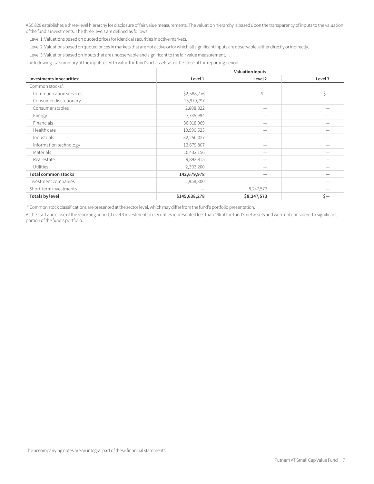ASC 820 establishes a three-level hierarchy for disclosure of fair value measurements. The valuation hierarchy is based upon the transparency of inputs to the valuation of the fund's investments. The three levels are defined as follows:

Level 1: Valuations based on quoted prices for identical securities in active markets.

Level 2: Valuations based on quoted prices in markets that are not active or for which all significant inputs are observable, either directly or indirectly.

Level 3: Valuations based on inputs that are unobservable and significant to the fair value measurement.

The following is a summary of the inputs used to value the fund's net assets as of the close of the reporting period:

|                            | <b>Valuation inputs</b> |                          |         |
|----------------------------|-------------------------|--------------------------|---------|
| Investments in securities: | Level 1                 | Level 2                  | Level 3 |
| Common stocks*:            |                         |                          |         |
| Communication services     | \$2,588,776             | $S-$                     | $s-$    |
| Consumer discretionary     | 13,979,797              | $\overline{\phantom{0}}$ |         |
| Consumer staples           | 2,808,822               |                          |         |
| Energy                     | 7,735,984               |                          |         |
| Financials                 | 36,018,069              |                          |         |
| Health care                | 10,990,525              | --                       |         |
| Industrials                | 32,250,027              | --                       |         |
| Information technology     | 13,679,807              | -                        |         |
| Materials                  | 10,432,156              |                          |         |
| Real estate                | 9,892,815               | $\overline{\phantom{0}}$ |         |
| <b>Utilities</b>           | 2,303,200               |                          |         |
| <b>Total common stocks</b> | 142,679,978             | -                        |         |
| Investment companies       | 2,958,300               |                          |         |
| Short-term investments     |                         | 8,247,573                |         |
| <b>Totals by level</b>     | \$145,638,278           | \$8,247,573              | \$—     |

\* Common stock classifications are presented at the sector level, which may differ from the fund's portfolio presentation.

At the start and close of the reporting period, Level 3 investments in securities represented less than 1% of the fund's net assets and were not considered a significant portion of the fund's portfolio.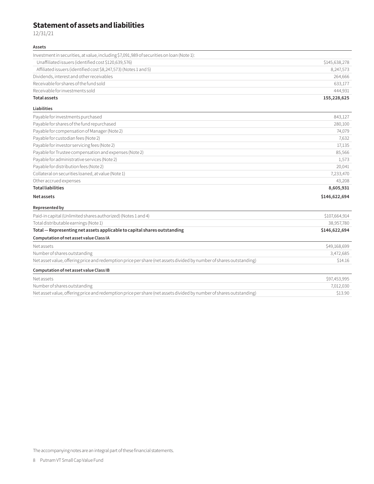### **Statement of assets and liabilities**

12/31/21

### **Assets**

| Receivable for investments sold<br><b>Total assets</b>                                    | 444.931<br>155,228,625 |
|-------------------------------------------------------------------------------------------|------------------------|
| Receivable for shares of the fund sold                                                    | 633,177                |
| Dividends, interest and other receivables                                                 | 264.666                |
| Affiliated issuers (identified cost \$8,247,573) (Notes 1 and 5)                          | 8.247.573              |
| Unaffiliated issuers (identified cost \$120,639,576)                                      | \$145,638,278          |
| Investment in securities, at value, including \$7,091,989 of securities on loan (Note 1): |                        |

### **Liabilities**

| Payable for investments purchased                      | 843,127       |
|--------------------------------------------------------|---------------|
| Payable for shares of the fund repurchased             | 280,100       |
| Payable for compensation of Manager (Note 2)           | 74,079        |
| Payable for custodian fees (Note 2)                    | 7,632         |
| Payable for investor servicing fees (Note 2)           | 17,135        |
| Payable for Trustee compensation and expenses (Note 2) | 85,566        |
| Payable for administrative services (Note 2)           | 1,573         |
| Payable for distribution fees (Note 2)                 | 20,041        |
| Collateral on securities loaned, at value (Note 1)     | 7,233,470     |
| Other accrued expenses                                 | 43.208        |
| <b>Total liabilities</b>                               | 8,605,931     |
| <b>Net assets</b>                                      | \$146,622,694 |

### **Represented by**

| Paid-in capital (Unlimited shares authorized) (Notes 1 and 4)                                                       | \$107,664,914 |
|---------------------------------------------------------------------------------------------------------------------|---------------|
| Total distributable earnings (Note 1)                                                                               | 38,957,780    |
| Total - Representing net assets applicable to capital shares outstanding                                            | \$146,622,694 |
| Computation of net asset value Class IA                                                                             |               |
| Net assets                                                                                                          | \$49,168,699  |
| Number of shares outstanding                                                                                        | 3,472,685     |
| Net asset value, offering price and redemption price per share (net assets divided by number of shares outstanding) | \$14.16       |
| Computation of net asset value Class IB                                                                             |               |
| Net assets                                                                                                          | \$97,453,995  |
| Number of shares outstanding                                                                                        | 7,012,030     |
| Net asset value, offering price and redemption price per share (net assets divided by number of shares outstanding) | \$13.90       |

The accompanying notes are an integral part of these financial statements.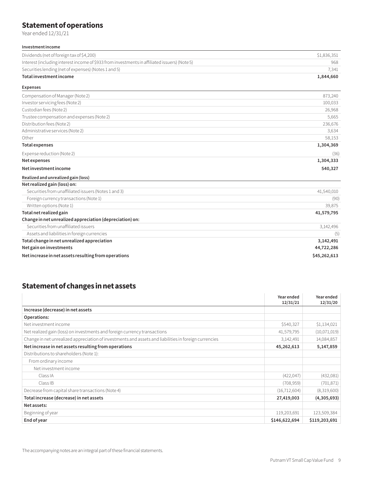### **Statement of operations**

Year ended 12/31/21

| Investment income                                                                             |             |
|-----------------------------------------------------------------------------------------------|-------------|
| Dividends (net of foreign tax of \$4,200)                                                     | \$1,836,351 |
| Interest (including interest income of \$933 from investments in affiliated issuers) (Note 5) | 968         |
| Securities lending (net of expenses) (Notes 1 and 5)                                          | 7,341       |
| Total investment income                                                                       | 1,844,660   |
| <b>Expenses</b>                                                                               |             |
| Compensation of Manager (Note 2)                                                              | 873,240     |
| Investor servicing fees (Note 2)                                                              | 100,033     |
| Custodian fees (Note 2)                                                                       | 26,968      |
| Trustee compensation and expenses (Note 2)                                                    | 5,665       |
| Distribution fees (Note 2)                                                                    | 236,676     |
| Administrative services (Note 2)                                                              | 3,634       |
| Other                                                                                         | 58,153      |
| <b>Total expenses</b>                                                                         | 1,304,369   |
| Expense reduction (Note 2)                                                                    | (36)        |
| Net expenses                                                                                  | 1,304,333   |
| Net investment income                                                                         | 540,327     |
| Realized and unrealized gain (loss)                                                           |             |
| Net realized gain (loss) on:                                                                  |             |
| Securities from unaffiliated issuers (Notes 1 and 3)                                          | 41,540,010  |
| Foreign currency transactions (Note 1)                                                        | (90)        |
| Written options (Note 1)                                                                      | 39,875      |
| Total net realized gain                                                                       | 41,579,795  |
| Change in net unrealized appreciation (depreciation) on:                                      |             |
| Securities from unaffiliated issuers                                                          | 3,142,496   |
| Assets and liabilities in foreign currencies                                                  | (5)         |
| Total change in net unrealized appreciation                                                   | 3,142,491   |
| Net gain on investments                                                                       | 44,722,286  |

**Net increase in net assets resulting from operations \$45,262,613** 

### **Statement of changes in net assets**

|                                                                                                       | Year ended<br>12/31/21 | Year ended<br>12/31/20 |
|-------------------------------------------------------------------------------------------------------|------------------------|------------------------|
| Increase (decrease) in net assets                                                                     |                        |                        |
| Operations:                                                                                           |                        |                        |
| Net investment income                                                                                 | \$540,327              | \$1,134,021            |
| Net realized gain (loss) on investments and foreign currency transactions                             | 41,579,795             | (10,071,019)           |
| Change in net unrealized appreciation of investments and assets and liabilities in foreign currencies | 3,142,491              | 14,084,857             |
| Net increase in net assets resulting from operations                                                  | 45,262,613             | 5,147,859              |
| Distributions to shareholders (Note 1):                                                               |                        |                        |
| From ordinary income                                                                                  |                        |                        |
| Net investment income                                                                                 |                        |                        |
| Class IA                                                                                              | (422, 047)             | (432,081)              |
| Class IB                                                                                              | (708, 959)             | (701, 871)             |
| Decrease from capital share transactions (Note 4)                                                     | (16, 712, 604)         | (8,319,600)            |
| Total increase (decrease) in net assets                                                               | 27,419,003             | (4,305,693)            |
| Net assets:                                                                                           |                        |                        |
| Beginning of year                                                                                     | 119,203,691            | 123,509,384            |
| End of year                                                                                           | \$146,622,694          | \$119,203,691          |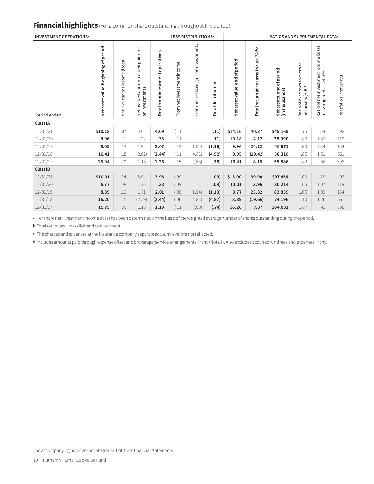### **Financial highlights** (For a common share outstanding throughout the period)

| <b>INVESTMENT OPERATIONS:</b> |                                      |                                           |                                                                   |                                  |                            | <b>LESS DISTRIBUTIONS:</b>            |                            |                                |                                        | <b>RATIOS AND SUPPLEMENTAL DATA:</b>       |                                                              |                                                                    |                        |
|-------------------------------|--------------------------------------|-------------------------------------------|-------------------------------------------------------------------|----------------------------------|----------------------------|---------------------------------------|----------------------------|--------------------------------|----------------------------------------|--------------------------------------------|--------------------------------------------------------------|--------------------------------------------------------------------|------------------------|
| Period ended                  | Net asset value, beginning of period | Net investment income (loss) <sup>a</sup> | gain (loss)<br>unrealized<br>and<br>on investments<br>Netrealized | Total from investment operations | From net investment income | From net realized gain on investments | <b>Total distributions</b> | Net asset value, end of period | Total return at net asset value (%)b,c | Netassets, end of period<br>(in thousands) | Ratio of expenses to average<br>netassets (%) <sub>c,d</sub> | Ratio of net investment income (loss)<br>to average net assets (%) | Portfolio turnover (%) |
| Class IA                      |                                      |                                           |                                                                   |                                  |                            |                                       |                            |                                |                                        |                                            |                                                              |                                                                    |                        |
| 12/31/21                      | \$10.18                              | .07                                       | 4.02                                                              | 4.09                             | (.11)                      | $\overline{\phantom{m}}$              | (.11)                      | \$14.16                        | 40.37                                  | \$49,169                                   | .75                                                          | .54                                                                | 92                     |
| 12/31/20                      | 9.96                                 | .11                                       | .22                                                               | .33                              | (.11)                      | $\hspace{0.1mm}-\hspace{0.1mm}$       | (.11)                      | 10.18                          | 4.12                                   | 38,990                                     | .80                                                          | 1.32                                                               | 119                    |
| 12/31/19                      | 9.05                                 | .13                                       | 1.94                                                              | 2.07                             | (.12)                      | (1.04)                                | (1.16)                     | 9.96                           | 24.12                                  | 40,671                                     | .80                                                          | 1.34                                                               | 164                    |
| 12/31/18                      | 16.41                                | .18                                       | (2.62)                                                            | (2.44)                           | (.11)                      | (4.81)                                | (4.92)                     | 9.05                           | (19.42)                                | 38,310                                     | .85                                                          | 1.51                                                               | 561                    |
| 12/31/17                      | 15.94                                | .10                                       | 1.15                                                              | 1.25                             | (.15)                      | (.63)                                 | (.78)                      | 16.41                          | 8.15                                   | 55,886                                     | .82                                                          | .66                                                                | 398                    |
| Class IB                      |                                      |                                           |                                                                   |                                  |                            |                                       |                            |                                |                                        |                                            |                                                              |                                                                    |                        |
| 12/31/21                      | \$10.01                              | .04                                       | 3.94                                                              | 3.98                             | (.09)                      | $\overline{\phantom{m}}$              | (.09)                      | \$13.90                        | 39.90                                  | \$97,454                                   | 1.00                                                         | .29                                                                | 92                     |
| 12/31/20                      | 9.77                                 | .08                                       | .25                                                               | .33                              | (.09)                      | $\overline{\phantom{m}}$              | (.09)                      | 10.01                          | 3.96                                   | 80,214                                     | 1.05                                                         | 1.07                                                               | 119                    |
| 12/31/19                      | 8.89                                 | .10                                       | 1.91                                                              | 2.01                             | (.09)                      | (1.04)                                | (1.13)                     | 9.77                           | 23.82                                  | 82,839                                     | 1.05                                                         | 1.09                                                               | 164                    |
| 12/31/18                      | 16.20                                | .15                                       | (2.59)                                                            | (2.44)                           | (.06)                      | (4.81)                                | (4.87)                     | 8.89                           | (19.66)                                | 74,196                                     | 1.10                                                         | 1.26                                                               | 561                    |
| 12/31/17                      | 15.75                                | .06                                       | 1.13                                                              | 1.19                             | (.11)                      | (.63)                                 | (.74)                      | 16.20                          | 7.87                                   | 104,031                                    | 1.07                                                         | .41                                                                | 398                    |

**<sup>a</sup>** Per share net investment income (loss) has been determined on the basis of the weighted average number of shares outstanding during the period.

**<sup>b</sup>** Total return assumes dividend reinvestment.

**<sup>c</sup>** The charges and expenses at the insurance company separate account level are not reflected.

**<sup>d</sup>** Includes amounts paid through expense offset and brokerage/service arrangements, if any (Note 2). Also excludes acquired fund fees and expenses, if any.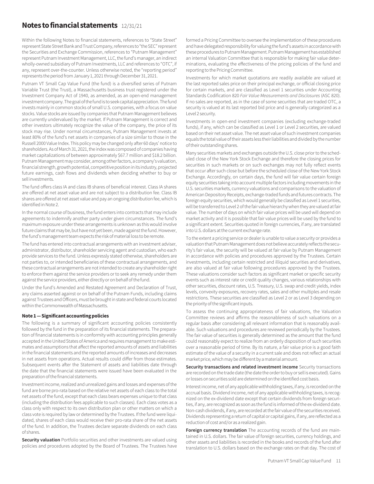### **Notes to financial statements** 12/31/21

Within the following Notes to financial statements, references to "State Street" represent State Street Bank and Trust Company, references to "the SEC" represent the Securities and Exchange Commission, references to "Putnam Management" represent Putnam Investment Management, LLC, the fund's manager, an indirect wholly-owned subsidiary of Putnam Investments, LLC and references to "OTC", if any, represent over-the-counter. Unless otherwise noted, the "reporting period" represents the period from January 1, 2021 through December 31, 2021.

Putnam VT Small Cap Value Fund (the fund) is a diversified series of Putnam Variable Trust (the Trust), a Massachusetts business trust registered under the Investment Company Act of 1940, as amended, as an open-end management investment company. The goal of the fund is to seek capital appreciation. The fund invests mainly in common stocks of small U.S. companies, with a focus on value stocks. Value stocks are issued by companies that Putnam Management believes are currently undervalued by the market. If Putnam Management is correct and other investors ultimately recognize the value of the company, the price of its stock may rise. Under normal circumstances, Putnam Management invests at least 80% of the fund's net assets in companies of a size similar to those in the Russell 2000 Value Index. This policy may be changed only after 60 days' notice to shareholders. As of March 31, 2021, the index was composed of companies having market capitalizations of between approximately \$67.7 million and \$18.2 billion. Putnam Management may consider, among other factors, a company's valuation, financial strength, growth potential, competitive position in its industry, projected future earnings, cash flows and dividends when deciding whether to buy or sell investments.

The fund offers class IA and class IB shares of beneficial interest. Class IA shares are offered at net asset value and are not subject to a distribution fee. Class IB shares are offered at net asset value and pay an ongoing distribution fee, which is identified in Note 2.

In the normal course of business, the fund enters into contracts that may include agreements to indemnify another party under given circumstances. The fund's maximum exposure under these arrangements is unknown as this would involve future claims that may be, but have not yet been, made against the fund. However, the fund's management team expects the risk of material loss to be remote.

The fund has entered into contractual arrangements with an investment adviser, administrator, distributor, shareholder servicing agent and custodian, who each provide services to the fund. Unless expressly stated otherwise, shareholders are not parties to, or intended beneficiaries of these contractual arrangements, and these contractual arrangements are not intended to create any shareholder right to enforce them against the service providers or to seek any remedy under them against the service providers, either directly or on behalf of the fund.

Under the fund's Amended and Restated Agreement and Declaration of Trust, any claims asserted against or on behalf of the Putnam Funds, including claims against Trustees and Officers, must be brought in state and federal courts located within the Commonwealth of Massachusetts.

### **Note 1 — Significant accounting policies**

The following is a summary of significant accounting policies consistently followed by the fund in the preparation of its financial statements. The preparation of financial statements is in conformity with accounting principles generally accepted in the United States of America and requires management to make estimates and assumptions that affect the reported amounts of assets and liabilities in the financial statements and the reported amounts of increases and decreases in net assets from operations. Actual results could differ from those estimates. Subsequent events after the Statement of assets and liabilities date through the date that the financial statements were issued have been evaluated in the preparation of the financial statements.

Investment income, realized and unrealized gains and losses and expenses of the fund are borne pro-rata based on the relative net assets of each class to the total net assets of the fund, except that each class bears expenses unique to that class (including the distribution fees applicable to such classes). Each class votes as a class only with respect to its own distribution plan or other matters on which a class vote is required by law or determined by the Trustees. If the fund were liquidated, shares of each class would receive their pro-rata share of the net assets of the fund. In addition, the Trustees declare separate dividends on each class of shares.

**Security valuation** Portfolio securities and other investments are valued using policies and procedures adopted by the Board of Trustees. The Trustees have

formed a Pricing Committee to oversee the implementation of these procedures and have delegated responsibility for valuing the fund's assets in accordance with these procedures to Putnam Management. Putnam Management has established an internal Valuation Committee that is responsible for making fair value determinations, evaluating the effectiveness of the pricing policies of the fund and reporting to the Pricing Committee.

Investments for which market quotations are readily available are valued at the last reported sales price on their principal exchange, or official closing price for certain markets, and are classified as Level 1 securities under Accounting Standards Codification 820 *Fair Value Measurements and Disclosures* (ASC 820). If no sales are reported, as in the case of some securities that are traded OTC, a security is valued at its last reported bid price and is generally categorized as a Level 2 security.

Investments in open-end investment companies (excluding exchange-traded funds), if any, which can be classified as Level 1 or Level 2 securities, are valued based on their net asset value. The net asset value of such investment companies equals the total value of their assets less their liabilities and divided by the number of their outstanding shares.

Many securities markets and exchanges outside the U.S. close prior to the scheduled close of the New York Stock Exchange and therefore the closing prices for securities in such markets or on such exchanges may not fully reflect events that occur after such close but before the scheduled close of the New York Stock Exchange. Accordingly, on certain days, the fund will fair value certain foreign equity securities taking into account multiple factors including movements in the U.S. securities markets, currency valuations and comparisons to the valuation of American Depository Receipts, exchange-traded funds and futures contracts. The foreign equity securities, which would generally be classified as Level 1 securities, will be transferred to Level 2 of the fair value hierarchy when they are valued at fair value. The number of days on which fair value prices will be used will depend on market activity and it is possible that fair value prices will be used by the fund to a significant extent. Securities quoted in foreign currencies, if any, are translated into U.S. dollars at the current exchange rate.

To the extent a pricing service or dealer is unable to value a security or provides a valuation that Putnam Management does not believe accurately reflects the security's fair value, the security will be valued at fair value by Putnam Management in accordance with policies and procedures approved by the Trustees. Certain investments, including certain restricted and illiquid securities and derivatives, are also valued at fair value following procedures approved by the Trustees. These valuations consider such factors as significant market or specific security events such as interest rate or credit quality changes, various relationships with other securities, discount rates, U.S. Treasury, U.S. swap and credit yields, index levels, convexity exposures, recovery rates, sales and other multiples and resale restrictions. These securities are classified as Level 2 or as Level 3 depending on the priority of the significant inputs.

To assess the continuing appropriateness of fair valuations, the Valuation Committee reviews and affirms the reasonableness of such valuations on a regular basis after considering all relevant information that is reasonably available. Such valuations and procedures are reviewed periodically by the Trustees. The fair value of securities is generally determined as the amount that the fund could reasonably expect to realize from an orderly disposition of such securities over a reasonable period of time. By its nature, a fair value price is a good faith estimate of the value of a security in a current sale and does not reflect an actual market price, which may be different by a material amount.

**Security transactions and related investment income** Security transactions are recorded on the trade date (the date the order to buy or sell is executed). Gains or losses on securities sold are determined on the identified cost basis.

Interest income, net of any applicable withholding taxes, if any, is recorded on the accrual basis. Dividend income, net of any applicable withholding taxes, is recognized on the ex-dividend date except that certain dividends from foreign securities, if any, are recognized as soon as the fund is informed of the ex-dividend date. Non-cash dividends, if any, are recorded at the fair value of the securities received. Dividends representing a return of capital or capital gains, if any, are reflected as a reduction of cost and/or as a realized gain.

**Foreign currency translation** The accounting records of the fund are maintained in U.S. dollars. The fair value of foreign securities, currency holdings, and other assets and liabilities is recorded in the books and records of the fund after translation to U.S. dollars based on the exchange rates on that day. The cost of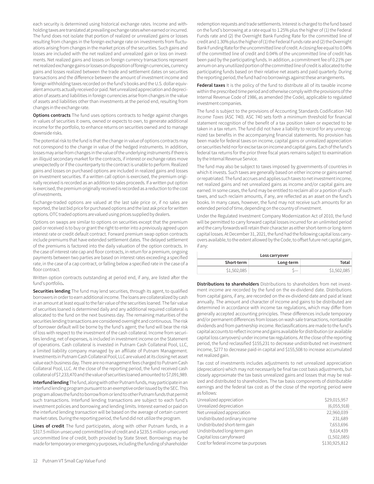each security is determined using historical exchange rates. Income and withholding taxes are translated at prevailing exchange rates when earned or incurred. The fund does not isolate that portion of realized or unrealized gains or losses resulting from changes in the foreign exchange rate on investments from fluctuations arising from changes in the market prices of the securities. Such gains and losses are included with the net realized and unrealized gain or loss on investments. Net realized gains and losses on foreign currency transactions represent net realized exchange gains or losses on disposition of foreign currencies, currency gains and losses realized between the trade and settlement dates on securities transactions and the difference between the amount of investment income and foreign withholding taxes recorded on the fund's books and the U.S. dollar equivalent amounts actually received or paid. Net unrealized appreciation and depreciation of assets and liabilities in foreign currencies arise from changes in the value of assets and liabilities other than investments at the period end, resulting from changes in the exchange rate.

**Options contracts** The fund uses options contracts to hedge against changes in values of securities it owns, owned or expects to own, to generate additional income for the portfolio, to enhance returns on securities owned and to manage downside risks.

The potential risk to the fund is that the change in value of options contracts may not correspond to the change in value of the hedged instruments. In addition, losses may arise from changes in the value of the underlying instruments if there is an illiquid secondary market for the contracts, if interest or exchange rates move unexpectedly or if the counterparty to the contract is unable to perform. Realized gains and losses on purchased options are included in realized gains and losses on investment securities. If a written call option is exercised, the premium originally received is recorded as an addition to sales proceeds. If a written put option is exercised, the premium originally received is recorded as a reduction to the cost of investments.

Exchange-traded options are valued at the last sale price or, if no sales are reported, the last bid price for purchased options and the last ask price for written options. OTC traded options are valued using prices supplied by dealers.

Options on swaps are similar to options on securities except that the premium paid or received is to buy or grant the right to enter into a previously agreed upon interest rate or credit default contract. Forward premium swap option contracts include premiums that have extended settlement dates. The delayed settlement of the premiums is factored into the daily valuation of the option contracts. In the case of interest rate cap and floor contracts, in return for a premium, ongoing payments between two parties are based on interest rates exceeding a specified rate, in the case of a cap contract, or falling below a specified rate in the case of a floor contract.

Written option contracts outstanding at period end, if any, are listed after the fund's portfolio**.**

**Securities lending** The fund may lend securities, through its agent, to qualified borrowers in order to earn additional income. The loans are collateralized by cash in an amount at least equal to the fair value of the securities loaned. The fair value of securities loaned is determined daily and any additional required collateral is allocated to the fund on the next business day. The remaining maturities of the securities lending transactions are considered overnight and continuous. The risk of borrower default will be borne by the fund's agent; the fund will bear the risk of loss with respect to the investment of the cash collateral. Income from securities lending, net of expenses, is included in investment income on the Statement of operations. Cash collateral is invested in Putnam Cash Collateral Pool, LLC, a limited liability company managed by an affiliate of Putnam Management. Investments in Putnam Cash Collateral Pool, LLC are valued at its closing net asset value each business day. There are no management fees charged to Putnam Cash Collateral Pool, LLC. At the close of the reporting period, the fund received cash collateral of \$7,233,470 and the value of securities loaned amounted to \$7,091,989.

**Interfund lending** The fund, along with other Putnam funds, may participate in an interfund lending program pursuant to an exemptive order issued by the SEC. This program allows the fund to borrow from or lend to other Putnam funds that permit such transactions. Interfund lending transactions are subject to each fund's investment policies and borrowing and lending limits. Interest earned or paid on the interfund lending transaction will be based on the average of certain current market rates. During the reporting period, the fund did not utilize the program.

**Lines of credit** The fund participates, along with other Putnam funds, in a \$317.5 million unsecured committed line of credit and a \$235.5 million unsecured uncommitted line of credit, both provided by State Street. Borrowings may be made for temporary or emergency purposes, including the funding of shareholder

redemption requests and trade settlements. Interest is charged to the fund based on the fund's borrowing at a rate equal to 1.25% plus the higher of (1) the Federal Funds rate and (2) the Overnight Bank Funding Rate for the committed line of credit and 1.30% plus the higher of (1) the Federal Funds rate and (2) the Overnight Bank Funding Rate for the uncommitted line of credit. A closing fee equal to 0.04% of the committed line of credit and 0.04% of the uncommitted line of credit has been paid by the participating funds. In addition, a commitment fee of 0.21% per annum on any unutilized portion of the committed line of credit is allocated to the participating funds based on their relative net assets and paid quarterly. During the reporting period, the fund had no borrowings against these arrangements.

**Federal taxes** It is the policy of the fund to distribute all of its taxable income within the prescribed time period and otherwise comply with the provisions of the Internal Revenue Code of 1986, as amended (the Code), applicable to regulated investment companies.

The fund is subject to the provisions of Accounting Standards Codification 740 *Income Taxes* (ASC 740). ASC 740 sets forth a minimum threshold for financial statement recognition of the benefit of a tax position taken or expected to be taken in a tax return. The fund did not have a liability to record for any unrecognized tax benefits in the accompanying financial statements. No provision has been made for federal taxes on income, capital gains or unrealized appreciation on securities held nor for excise tax on income and capital gains. Each of the fund's federal tax returns for the prior three fiscal years remains subject to examination by the Internal Revenue Service.

The fund may also be subject to taxes imposed by governments of countries in which it invests. Such taxes are generally based on either income or gains earned or repatriated. The fund accrues and applies such taxes to net investment income, net realized gains and net unrealized gains as income and/or capital gains are earned. In some cases, the fund may be entitled to reclaim all or a portion of such taxes, and such reclaim amounts, if any, are reflected as an asset on the fund's books. In many cases, however, the fund may not receive such amounts for an extended period of time, depending on the country of investment.

Under the Regulated Investment Company Modernization Act of 2010, the fund will be permitted to carry forward capital losses incurred for an unlimited period and the carry forwards will retain their character as either short-term or long-term capital losses. At December 31, 2021, the fund had the following capital loss carryovers available, to the extent allowed by the Code, to offset future net capital gain, if any:

| Loss carryover |           |             |  |  |  |  |
|----------------|-----------|-------------|--|--|--|--|
| Short-term     | Long-term | Total       |  |  |  |  |
| \$1,502,085    |           | \$1,502,085 |  |  |  |  |

**Distributions to shareholders** Distributions to shareholders from net investment income are recorded by the fund on the ex-dividend date. Distributions from capital gains, if any, are recorded on the ex-dividend date and paid at least annually. The amount and character of income and gains to be distributed are determined in accordance with income tax regulations, which may differ from generally accepted accounting principles. These differences include temporary and/or permanent differences from losses on wash sale transactions, nontaxable dividends and from partnership income. Reclassifications are made to the fund's capital accounts to reflect income and gains available for distribution (or available capital loss carryovers) under income tax regulations. At the close of the reporting period, the fund reclassified \$155,231 to decrease undistributed net investment income, \$277 to decrease paid-in capital and \$155,508 to increase accumulated net realized gain.

Tax cost of investments includes adjustments to net unrealized appreciation (depreciation) which may not necessarily be final tax cost basis adjustments, but closely approximate the tax basis unrealized gains and losses that may be realized and distributed to shareholders. The tax basis components of distributable earnings and the federal tax cost as of the close of the reporting period were as follows:

| Unrealized appreciation              | \$29,015,957  |
|--------------------------------------|---------------|
| Unrealized depreciation              | (6,055,918)   |
| Net unrealized appreciation          | 22,960,039    |
| Undistributed ordinary income        | 231,689       |
| Undistributed short-term gain        | 7,653,696     |
| Undistributed long-term gain         | 9,614,439     |
| Capital loss carryforward            | (1,502,085)   |
| Cost for federal income tax purposes | \$130,925,812 |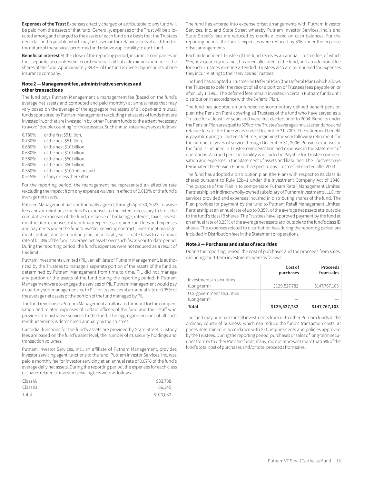**Expenses of the Trust** Expenses directly charged or attributable to any fund will be paid from the assets of that fund. Generally, expenses of the Trust will be allocated among and charged to the assets of each fund on a basis that the Trustees deem fair and equitable, which may be based on the relative assets of each fund or the nature of the services performed and relative applicability to each fund.

**Beneficial interest** At the close of the reporting period, insurance companies or their separate accounts were record owners of all but a de minimis number of the shares of the fund. Approximately 39.4% of the fund is owned by accounts of one insurance company.

#### **Note 2 — Management fee, administrative services and other transactions**

The fund pays Putnam Management a management fee (based on the fund's average net assets and computed and paid monthly) at annual rates that may vary based on the average of the aggregate net assets of all open-end mutual funds sponsored by Putnam Management (excluding net assets of funds that are invested in, or that are invested in by, other Putnam funds to the extent necessary to avoid "double counting" of those assets). Such annual rates may vary as follows:

| 0.780% | of the first \$5 billion.     |
|--------|-------------------------------|
| 0.730% | of the next \$5 billion,      |
| 0.680% | of the next \$10 billion,     |
| 0.630% | of the next \$10 billion,     |
| 0.580% | of the next \$50 billion,     |
| 0.560% | of the next \$50 billion,     |
| 0.550% | of the next \$100 billion and |
| 0.545% | of any excess thereafter.     |

For the reporting period, the management fee represented an effective rate (excluding the impact from any expense waivers in effect) of 0.610% of the fund's average net assets.

Putnam Management has contractually agreed, through April 30, 2023, to waive fees and/or reimburse the fund's expenses to the extent necessary to limit the cumulative expenses of the fund, exclusive of brokerage, interest, taxes, investment-related expenses, extraordinary expenses, acquired fund fees and expenses and payments under the fund's investor servicing contract, investment management contract and distribution plan, on a fiscal year-to-date basis to an annual rate of 0.20% of the fund's average net assets over such fiscal year-to-date period. During the reporting period, the fund's expenses were not reduced as a result of this limit.

Putnam Investments Limited (PIL), an affiliate of Putnam Management, is authorized by the Trustees to manage a separate portion of the assets of the fund as determined by Putnam Management from time to time. PIL did not manage any portion of the assets of the fund during the reporting period. If Putnam Management were to engage the services of PIL, Putnam Management would pay a quarterly sub-management fee to PIL for its services at an annual rate of 0.35% of the average net assets of the portion of the fund managed by PIL.

The fund reimburses Putnam Management an allocated amount for the compensation and related expenses of certain officers of the fund and their staff who provide administrative services to the fund. The aggregate amount of all such reimbursements is determined annually by the Trustees.

Custodial functions for the fund's assets are provided by State Street. Custody fees are based on the fund's asset level, the number of its security holdings and transaction volumes.

Putnam Investor Services, Inc., an affiliate of Putnam Management, provides investor servicing agent functions to the fund. Putnam Investor Services, Inc. was paid a monthly fee for investor servicing at an annual rate of 0.07% of the fund's average daily net assets. During the reporting period, the expenses for each class of shares related to investor servicing fees were as follows:

| Class IA | \$33,788  |
|----------|-----------|
| Class IB | 66.245    |
| Total    | \$100,033 |

The fund has entered into expense offset arrangements with Putnam Investor Services, Inc. and State Street whereby Putnam Investor Services, Inc.'s and State Street's fees are reduced by credits allowed on cash balances. For the reporting period, the fund's expenses were reduced by \$36 under the expense offset arrangements.

Each Independent Trustee of the fund receives an annual Trustee fee, of which \$95, as a quarterly retainer, has been allocated to the fund, and an additional fee for each Trustees meeting attended. Trustees also are reimbursed for expenses they incur relating to their services as Trustees.

The fund has adopted a Trustee Fee Deferral Plan (the Deferral Plan) which allows the Trustees to defer the receipt of all or a portion of Trustees fees payable on or after July 1, 1995. The deferred fees remain invested in certain Putnam funds until distribution in accordance with the Deferral Plan.

The fund has adopted an unfunded noncontributory defined benefit pension plan (the Pension Plan) covering all Trustees of the fund who have served as a Trustee for at least five years and were first elected prior to 2004. Benefits under the Pension Plan are equal to 50% of the Trustee's average annual attendance and retainer fees for the three years ended December 31, 2005. The retirement benefit is payable during a Trustee's lifetime, beginning the year following retirement, for the number of years of service through December 31, 2006. Pension expense for the fund is included in Trustee compensation and expenses in the Statement of operations. Accrued pension liability is included in Payable for Trustee compensation and expenses in the Statement of assets and liabilities. The Trustees have terminated the Pension Plan with respect to any Trustee first elected after 2003.

The fund has adopted a distribution plan (the Plan) with respect to its class IB shares pursuant to Rule 12b–1 under the Investment Company Act of 1940. The purpose of the Plan is to compensate Putnam Retail Management Limited Partnership, an indirect wholly-owned subsidiary of Putnam Investments, LLC, for services provided and expenses incurred in distributing shares of the fund. The Plan provides for payment by the fund to Putnam Retail Management Limited Partnership at an annual rate of up to 0.35% of the average net assets attributable to the fund's class IB shares. The Trustees have approved payment by the fund at an annual rate of 0.25% of the average net assets attributable to the fund's class IB shares. The expenses related to distribution fees during the reporting period are included in Distribution fees in the Statement of operations.

### **Note 3 — Purchases and sales of securities**

During the reporting period, the cost of purchases and the proceeds from sales, excluding short-term investments, were as follows:

|                                           | Cost of<br>purchases | Proceeds<br>from sales |
|-------------------------------------------|----------------------|------------------------|
| Investments in securities<br>(Long-term)  | \$129,527,782        | \$147,767,103          |
| U.S. government securities<br>(Long-term) |                      |                        |
| Total                                     | \$129,527,782        | \$147,767,103          |

The fund may purchase or sell investments from or to other Putnam funds in the ordinary course of business, which can reduce the fund's transaction costs, at prices determined in accordance with SEC requirements and policies approved by the Trustees. During the reporting period, purchases or sales of long-term securities from or to other Putnam funds, if any, did not represent more than 5% of the fund's total cost of purchases and/or total proceeds from sales.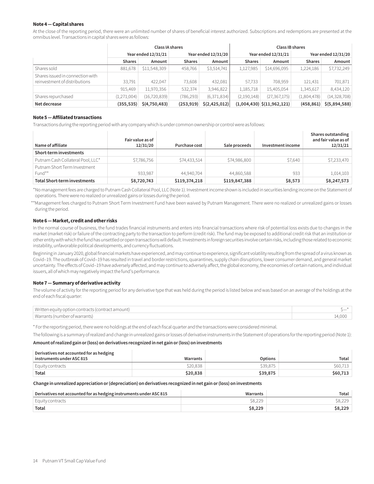### **Note 4 — Capital shares**

At the close of the reporting period, there were an unlimited number of shares of beneficial interest authorized. Subscriptions and redemptions are presented at the omnibus level. Transactions in capital shares were as follows:

|                                                                   | Class IA shares     |                |                     |                           | Class IB shares     |                                   |                     |                |
|-------------------------------------------------------------------|---------------------|----------------|---------------------|---------------------------|---------------------|-----------------------------------|---------------------|----------------|
|                                                                   | Year ended 12/31/21 |                | Year ended 12/31/20 |                           | Year ended 12/31/21 |                                   | Year ended 12/31/20 |                |
|                                                                   | <b>Shares</b>       | Amount         | <b>Shares</b>       | Amount                    | <b>Shares</b>       | Amount                            | <b>Shares</b>       | Amount         |
| Shares sold                                                       | 881,678             | \$11,548,309   | 458,766             | \$3,514,741               | 1,127,985           | \$14,696,095                      | 1,224,186           | \$7,732,249    |
| Shares issued in connection with<br>reinvestment of distributions | 33.791              | 422.047        | 73,608              | 432,081                   | 57,733              | 708,959                           | 121,431             | 701,871        |
|                                                                   | 915.469             | 11,970,356     | 532,374             | 3,946,822                 | 1,185,718           | 15,405,054                        | 1,345,617           | 8,434,120      |
| Shares repurchased                                                | (1, 271, 004)       | (16, 720, 839) | (786,293)           | (6,371,834)               | (2, 190, 148)       | (27, 367, 175)                    | (1,804,478)         | (14, 328, 708) |
| Net decrease                                                      | (355, 535)          | \$(4,750,483)  | (253, 919)          | $\frac{2}{2}$ (2,425,012) |                     | $(1,004,430)$ $\zeta(11,962,121)$ | (458, 861)          | \$ (5,894,588) |

#### **Note 5 — Affiliated transactions**

Transactions during the reporting period with any company which is under common ownership or control were as follows:

| Name of affiliate                      | Fair value as of<br>12/31/20 | Purchase cost | Sale proceeds | Investment income | Shares outstanding<br>and fair value as of<br>12/31/21 |
|----------------------------------------|------------------------------|---------------|---------------|-------------------|--------------------------------------------------------|
| Short-term investments                 |                              |               |               |                   |                                                        |
| Putnam Cash Collateral Pool, LLC*      | \$7,786,756                  | \$74,433,514  | \$74,986,800  | \$7,640           | \$7,233,470                                            |
| Putnam Short Term Investment<br>Fund** | 933,987                      | 44.940.704    | 44,860,588    | 933               | 1,014,103                                              |
| Total Short-term investments           | \$8,720,743                  | \$119,374,218 | \$119,847,388 | \$8,573           | \$8,247,573                                            |

\*No management fees are charged to Putnam Cash Collateral Pool, LLC (Note 1). Investment income shown is included in securities lending income on the Statement of operations. There were no realized or unrealized gains or losses during the period.

\*\*Management fees charged to Putnam Short Term Investment Fund have been waived by Putnam Management. There were no realized or unrealized gains or losses during the period.

### **Note 6 — Market, credit and other risks**

In the normal course of business, the fund trades financial instruments and enters into financial transactions where risk of potential loss exists due to changes in the market (market risk) or failure of the contracting party to the transaction to perform (credit risk). The fund may be exposed to additional credit risk that an institution or other entity with which the fund has unsettled or open transactions will default.Investments in foreign securities involve certain risks, including those related to economic instability, unfavorable political developments, and currency fluctuations.

Beginning in January 2020, global financial markets have experienced, and may continue to experience, significant volatility resulting from the spread of a virus known as Covid–19. The outbreak of Covid–19 has resulted in travel and border restrictions, quarantines, supply chain disruptions, lower consumer demand, and general market uncertainty. The effects of Covid–19 have adversely affected, and may continue to adversely affect, the global economy, the economies of certain nations, and individual issuers, all of which may negatively impact the fund's performance.

#### **Note 7 — Summary of derivative activity**

The volume of activity for the reporting period for any derivative type that was held during the period is listed below and was based on an average of the holdings at the end of each fiscal quarter:

| Written equity option contracts (contract amount) |        |
|---------------------------------------------------|--------|
| Warrants (number of warrants)                     | 14.000 |

\* For the reporting period, there were no holdings at the end of each fiscal quarter and the transactions were considered minimal.

The following is a summary of realized and change in unrealized gains or losses of derivative instruments in the Statement of operations for the reporting period (Note 1):

#### **Amount of realized gain or (loss) on derivatives recognized in net gain or (loss) on investments**

| Derivatives not accounted for as hedging                      |          |          |          |
|---------------------------------------------------------------|----------|----------|----------|
| $^\shortparallel$ instruments under ASC 815 $^\shortparallel$ | Warrants | Options  | Total    |
| Equity contracts                                              | \$20,838 | \$39.875 | \$60,713 |
| Total                                                         | \$20,838 | \$39,875 | \$60,713 |

#### **Change in unrealized appreciation or (depreciation) on derivatives recognized in net gain or (loss) on investments**

| Derivatives not accounted for as hedging instruments under ASC 815 | Warrants | Total   |
|--------------------------------------------------------------------|----------|---------|
| Equity contracts                                                   | \$8,229  | \$8,229 |
| Total                                                              | \$8,229  | \$8,229 |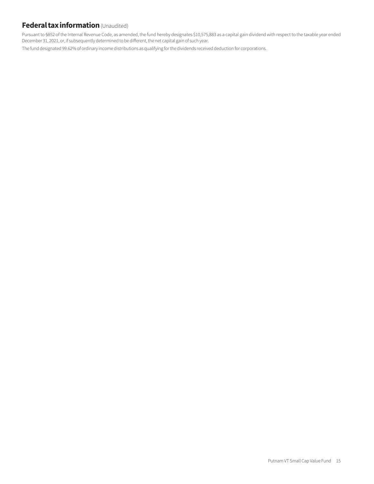### **Federal tax information** (Unaudited)

Pursuant to §852 of the Internal Revenue Code, as amended, the fund hereby designates \$10,575,883 as a capital gain dividend with respect to the taxable year ended December 31, 2021, or, if subsequently determined to be different, the net capital gain of such year.

The fund designated 99.62% of ordinary income distributions as qualifying for the dividends received deduction for corporations.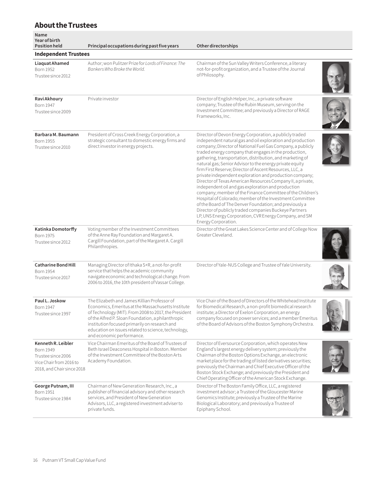### **About the Trustees**

| Name<br><b>Year of birth</b><br><b>Position held</b>                                                                  | Principal occupations during past five years                                                                                                                                                                                                                                                                                                           | Other directorships                                                                                                                                                                                                                                                                                                                                                                                                                                                                                                                                                                                                                                                                                                                                                                                                                                                                                                                               |  |
|-----------------------------------------------------------------------------------------------------------------------|--------------------------------------------------------------------------------------------------------------------------------------------------------------------------------------------------------------------------------------------------------------------------------------------------------------------------------------------------------|---------------------------------------------------------------------------------------------------------------------------------------------------------------------------------------------------------------------------------------------------------------------------------------------------------------------------------------------------------------------------------------------------------------------------------------------------------------------------------------------------------------------------------------------------------------------------------------------------------------------------------------------------------------------------------------------------------------------------------------------------------------------------------------------------------------------------------------------------------------------------------------------------------------------------------------------------|--|
| <b>Independent Trustees</b>                                                                                           |                                                                                                                                                                                                                                                                                                                                                        |                                                                                                                                                                                                                                                                                                                                                                                                                                                                                                                                                                                                                                                                                                                                                                                                                                                                                                                                                   |  |
| Liaquat Ahamed<br>Born 1952<br>Trustee since 2012                                                                     | Author; won Pulitzer Prize for Lords of Finance: The<br>Bankers Who Broke the World.                                                                                                                                                                                                                                                                   | Chairman of the Sun Valley Writers Conference, a literary<br>not-for-profit organization, and a Trustee of the Journal<br>of Philosophy.                                                                                                                                                                                                                                                                                                                                                                                                                                                                                                                                                                                                                                                                                                                                                                                                          |  |
| Ravi Akhoury<br>Born 1947<br>Trustee since 2009                                                                       | Private investor                                                                                                                                                                                                                                                                                                                                       | Director of English Helper, Inc., a private software<br>company; Trustee of the Rubin Museum, serving on the<br>Investment Committee; and previously a Director of RAGE<br>Frameworks, Inc.                                                                                                                                                                                                                                                                                                                                                                                                                                                                                                                                                                                                                                                                                                                                                       |  |
| Barbara M. Baumann<br>Born 1955<br>Trustee since 2010                                                                 | President of Cross Creek Energy Corporation, a<br>strategic consultant to domestic energy firms and<br>direct investor in energy projects.                                                                                                                                                                                                             | Director of Devon Energy Corporation, a publicly traded<br>independent natural gas and oil exploration and production<br>company; Director of National Fuel Gas Company, a publicly<br>traded energy company that engages in the production,<br>gathering, transportation, distribution, and marketing of<br>natural gas; Senior Advisor to the energy private equity<br>firm First Reserve; Director of Ascent Resources, LLC, a<br>private independent exploration and production company;<br>Director of Texas American Resources Company II, a private,<br>independent oil and gas exploration and production<br>company; member of the Finance Committee of the Children's<br>Hospital of Colorado; member of the Investment Committee<br>of the Board of The Denver Foundation; and previously a<br>Director of publicly traded companies Buckeye Partners<br>LP, UNS Energy Corporation, CVR Energy Company, and SM<br>Energy Corporation. |  |
| Katinka Domotorffy<br>Born 1975<br>Trustee since 2012                                                                 | Voting member of the Investment Committees<br>of the Anne Ray Foundation and Margaret A.<br>Cargill Foundation, part of the Margaret A. Cargill<br>Philanthropies.                                                                                                                                                                                     | Director of the Great Lakes Science Center and of College Now<br>Greater Cleveland.                                                                                                                                                                                                                                                                                                                                                                                                                                                                                                                                                                                                                                                                                                                                                                                                                                                               |  |
| <b>Catharine Bond Hill</b><br><b>Born 1954</b><br>Trustee since 2017                                                  | Managing Director of Ithaka S+R, a not-for-profit<br>service that helps the academic community<br>navigate economic and technological change. From<br>2006 to 2016, the 10th president of Vassar College.                                                                                                                                              | Director of Yale-NUS College and Trustee of Yale University.                                                                                                                                                                                                                                                                                                                                                                                                                                                                                                                                                                                                                                                                                                                                                                                                                                                                                      |  |
| Paul L. Joskow<br>Born 1947<br>Trustee since 1997                                                                     | The Elizabeth and James Killian Professor of<br>Economics, Emeritus at the Massachusetts Institute<br>of Technology (MIT). From 2008 to 2017, the President<br>of the Alfred P. Sloan Foundation, a philanthropic<br>institution focused primarily on research and<br>education on issues related to science, technology,<br>and economic performance. | Vice Chair of the Board of Directors of the Whitehead Institute<br>for Biomedical Research, a non-profit biomedical research<br>institute; a Director of Exelon Corporation, an energy<br>company focused on power services; and a member Emeritus<br>of the Board of Advisors of the Boston Symphony Orchestra.                                                                                                                                                                                                                                                                                                                                                                                                                                                                                                                                                                                                                                  |  |
| Kenneth R. Leibler<br><b>Born 1949</b><br>Trustee since 2006<br>Vice Chair from 2016 to<br>2018, and Chair since 2018 | Vice Chairman Emeritus of the Board of Trustees of<br>Beth Israel Deaconess Hospital in Boston. Member<br>of the Investment Committee of the Boston Arts<br>Academy Foundation.                                                                                                                                                                        | Director of Eversource Corporation, which operates New<br>England's largest energy delivery system; previously the<br>Chairman of the Boston Options Exchange, an electronic<br>market place for the trading of listed derivatives securities;<br>previously the Chairman and Chief Executive Officer of the<br>Boston Stock Exchange; and previously the President and<br>Chief Operating Officer of the American Stock Exchange.                                                                                                                                                                                                                                                                                                                                                                                                                                                                                                                |  |
| George Putnam, III<br><b>Born 1951</b><br>Trustee since 1984                                                          | Chairman of New Generation Research, Inc., a<br>publisher of financial advisory and other research<br>services, and President of New Generation<br>Advisors, LLC, a registered investment adviser to<br>private funds.                                                                                                                                 | Director of The Boston Family Office, LLC, a registered<br>investment advisor; a Trustee of the Gloucester Marine<br>Genomics Institute; previously a Trustee of the Marine<br>Biological Laboratory; and previously a Trustee of<br>Epiphany School.                                                                                                                                                                                                                                                                                                                                                                                                                                                                                                                                                                                                                                                                                             |  |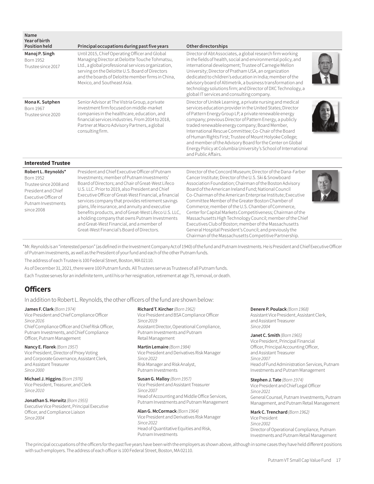| Name<br><b>Year of birth</b><br><b>Position held</b>                                                                                          | Principal occupations during past five years                                                                                                                                                                                                                                                                                                                                                                                                                                                                                                                                      | <b>Other directorships</b>                                                                                                                                                                                                                                                                                                                                                                                                                                                                                                                                                                                                                                                                                                     |  |
|-----------------------------------------------------------------------------------------------------------------------------------------------|-----------------------------------------------------------------------------------------------------------------------------------------------------------------------------------------------------------------------------------------------------------------------------------------------------------------------------------------------------------------------------------------------------------------------------------------------------------------------------------------------------------------------------------------------------------------------------------|--------------------------------------------------------------------------------------------------------------------------------------------------------------------------------------------------------------------------------------------------------------------------------------------------------------------------------------------------------------------------------------------------------------------------------------------------------------------------------------------------------------------------------------------------------------------------------------------------------------------------------------------------------------------------------------------------------------------------------|--|
| Manoj P. Singh<br>Born 1952<br>Trustee since 2017                                                                                             | Until 2015, Chief Operating Officer and Global<br>Managing Director at Deloitte Touche Tohmatsu,<br>Ltd., a global professional services organization,<br>serving on the Deloitte U.S. Board of Directors<br>and the boards of Deloitte member firms in China,<br>Mexico, and Southeast Asia.                                                                                                                                                                                                                                                                                     | Director of Abt Associates, a global research firm working<br>in the fields of health, social and environmental policy, and<br>international development; Trustee of Carnegie Mellon<br>University; Director of Pratham USA, an organization<br>dedicated to children's education in India; member of the<br>advisory board of Altimetrik, a business transformation and<br>technology solutions firm; and Director of DXC Technology, a<br>global IT services and consulting company.                                                                                                                                                                                                                                         |  |
| Mona K. Sutphen<br>Born 1967<br>Trustee since 2020                                                                                            | Senior Advisor at The Vistria Group, a private<br>investment firm focused on middle-market<br>companies in the healthcare, education, and<br>financial services industries. From 2014 to 2018,<br>Partner at Macro Advisory Partners, a global<br>consulting firm.                                                                                                                                                                                                                                                                                                                | Director of Unitek Learning, a private nursing and medical<br>services education provider in the United States; Director<br>of Pattern Energy Group LP, a private renewable energy<br>company; previous Director of Pattern Energy, a publicly<br>traded renewable energy company; Board Member,<br>International Rescue Committee; Co-Chair of the Board<br>of Human Rights First; Trustee of Mount Holyoke College;<br>and member of the Advisory Board for the Center on Global<br>Energy Policy at Columbia University's School of International<br>and Public Affairs.                                                                                                                                                    |  |
| <b>Interested Trustee</b>                                                                                                                     |                                                                                                                                                                                                                                                                                                                                                                                                                                                                                                                                                                                   |                                                                                                                                                                                                                                                                                                                                                                                                                                                                                                                                                                                                                                                                                                                                |  |
| Robert L. Reynolds*<br>Born 1952<br>Trustee since 2008 and<br>President and Chief<br>Executive Officer of<br>Putnam Investments<br>since 2008 | President and Chief Executive Officer of Putnam<br>Investments; member of Putnam Investments'<br>Board of Directors; and Chair of Great-West Lifeco<br>U.S. LLC. Prior to 2019, also President and Chief<br>Executive Officer of Great-West Financial, a financial<br>services company that provides retirement savings<br>plans, life insurance, and annuity and executive<br>benefits products, and of Great-West Lifeco U.S. LLC,<br>a holding company that owns Putnam Investments<br>and Great-West Financial, and a member of<br>Great-West Financial's Board of Directors. | Director of the Concord Museum; Director of the Dana-Farber<br>Cancer Institute; Director of the U.S. Ski & Snowboard<br>Association Foundation; Chairman of the Boston Advisory<br>Board of the American Ireland Fund; National Council<br>Co-Chairman of the American Enterprise Institute; Executive<br>Committee Member of the Greater Boston Chamber of<br>Commerce; member of the U.S. Chamber of Commerce,<br>Center for Capital Markets Competitiveness; Chairman of the<br>Massachusetts High Technology Council; member of the Chief<br>Executives Club of Boston; member of the Massachusetts<br>General Hospital President's Council; and previously the<br>Chairman of the Massachusetts Competitive Partnership. |  |

\*Mr. Reynolds is an "interested person" (as defined in the Investment Company Act of 1940) of the fund and Putnam Investments. He is President and Chief Executive Officer of Putnam Investments, as well as the President of your fund and each of the other Putnam funds.

The address of each Trustee is 100 Federal Street, Boston, MA 02110.

As of December 31, 2021, there were 100 Putnam funds. All Trustees serve as Trustees of all Putnam funds.

Each Trustee serves for an indefinite term, until his or her resignation, retirement at age 75, removal, or death.

### **Officers**

In addition to Robert L. Reynolds, the other officers of the fund are shown below:

**James F. Clark** *(Born 1974)* Vice President and Chief Compliance Officer *Since 2016* Chief Compliance Officer and Chief Risk Officer, Putnam Investments, and Chief Compliance

**Nancy E. Florek** *(Born 1957)* Vice President, Director of Proxy Voting and Corporate Governance, Assistant Clerk, and Assistant Treasurer *Since 2000*

**Michael J. Higgins** *(Born 1976)* Vice President, Treasurer, and Clerk *Since 2010*

Officer, Putnam Management

**Jonathan S. Horwitz** *(Born 1955)* Executive Vice President, Principal Executive Officer, and Compliance Liaison *Since 2004*

**Richard T. Kircher** *(Born 1962)*

Vice President and BSA Compliance Officer *Since 2019* Assistant Director, Operational Compliance, Putnam Investments and Putnam Retail Management

**Martin Lemaire** *(Born 1984)* Vice President and Derivatives Risk Manager *Since 2022* Risk Manager and Risk Analyst, Putnam Investments

**Susan G. Malloy** *(Born 1957)* Vice President and Assistant Treasurer *Since 2007* Head of Accounting and Middle Office Services, Putnam Investments and Putnam Management

**Alan G. McCormack** *(Born 1964)* Vice President and Derivatives Risk Manager *Since 2022*  Head of Quantitative Equities and Risk, Putnam Investments

**Denere P. Poulack** *(Born 1968)* Assistant Vice President, Assistant Clerk, and Assistant Treasurer *Since 2004* 

**Janet C. Smith** *(Born 1965)* Vice President, Principal Financial Officer, Principal Accounting Officer, and Assistant Treasurer *Since 2007* Head of Fund Administration Services, Putnam Investments and Putnam Management

#### **Stephen J. Tate** *(Born 1974)*

Vice President and Chief Legal Officer *Since 2021* General Counsel, Putnam Investments, Putnam Management, and Putnam Retail Management

**Mark C. Trenchard** *(Born 1962)* Vice President *Since 2002* Director of Operational Compliance, Putnam Investments and Putnam Retail Management

The principal occupations of the officers for the past five years have been with the employers as shown above, although in some cases they have held different positions with such employers. The address of each officer is 100 Federal Street, Boston, MA 02110.